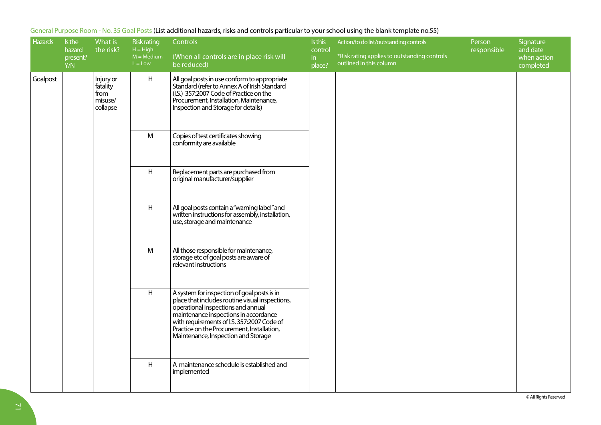| <b>Hazards</b> | Is the<br>hazard<br>present?<br>Y/N | What is<br>the risk?                                 | Risk rating<br>$H = High$<br>$M = Medium$<br>$L = Low$ | Controls<br>(When all controls are in place risk will<br>be reduced)                                                                                                                                                                                                                                             | Is this<br>control<br>in<br>$plane$ ? | Action/to do list/outstanding controls<br>*Risk rating applies to outstanding controls<br>outlined in this column | Person<br>responsible | Signature<br>and date<br>when action<br>completed |
|----------------|-------------------------------------|------------------------------------------------------|--------------------------------------------------------|------------------------------------------------------------------------------------------------------------------------------------------------------------------------------------------------------------------------------------------------------------------------------------------------------------------|---------------------------------------|-------------------------------------------------------------------------------------------------------------------|-----------------------|---------------------------------------------------|
| Goalpost       |                                     | Injury or<br>fatality<br>from<br>misuse/<br>collapse | H                                                      | All goal posts in use conform to appropriate<br>Standard (refer to Annex A of Irish Standard<br>(I.S.) 357:2007 Code of Practice on the<br>Procurement, Installation, Maintenance,<br>Inspection and Storage for details)                                                                                        |                                       |                                                                                                                   |                       |                                                   |
|                |                                     |                                                      | M                                                      | Copies of test certificates showing<br>conformity are available                                                                                                                                                                                                                                                  |                                       |                                                                                                                   |                       |                                                   |
|                |                                     |                                                      | H                                                      | Replacement parts are purchased from<br>original manufacturer/supplier                                                                                                                                                                                                                                           |                                       |                                                                                                                   |                       |                                                   |
|                |                                     |                                                      | H                                                      | All goal posts contain a "warning label" and<br>written instructions for assembly, installation,<br>use, storage and maintenance                                                                                                                                                                                 |                                       |                                                                                                                   |                       |                                                   |
|                |                                     |                                                      | M                                                      | All those responsible for maintenance,<br>storage etc of goal posts are aware of<br>relevant instructions                                                                                                                                                                                                        |                                       |                                                                                                                   |                       |                                                   |
|                |                                     |                                                      | H                                                      | A system for inspection of goal posts is in<br>place that includes routine visual inspections,<br>operational inspections and annual<br>maintenance inspections in accordance<br>with requirements of I.S. 357:2007 Code of<br>Practice on the Procurement, Installation,<br>Maintenance, Inspection and Storage |                                       |                                                                                                                   |                       |                                                   |
|                |                                     |                                                      | H                                                      | A maintenance schedule is established and<br>implemented                                                                                                                                                                                                                                                         |                                       |                                                                                                                   |                       |                                                   |

## General Purpose Room - No. 35 Goal Posts (List additional hazards, risks and controls particular to your school using the blank template no.55)